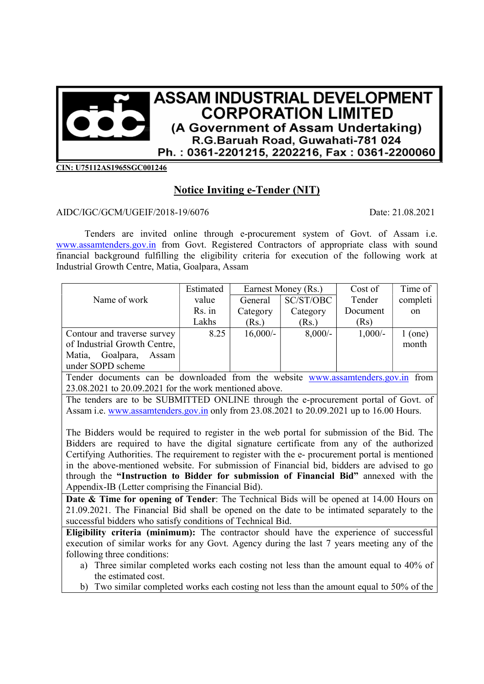

CIN: U75112AS1965SGC001246

## Notice Inviting e-Tender (NIT)

## AIDC/IGC/GCM/UGEIF/2018-19/6076 Date: 21.08.2021

Tenders are invited online through e-procurement system of Govt. of Assam i.e. www.assamtenders.gov.in from Govt. Registered Contractors of appropriate class with sound financial background fulfilling the eligibility criteria for execution of the following work at Industrial Growth Centre, Matia, Goalpara, Assam

|                              | Estimated | Earnest Money (Rs.) |            | Cost of   | Time of   |
|------------------------------|-----------|---------------------|------------|-----------|-----------|
| Name of work                 | value     | General             | SC/ST/OBC  | Tender    | completi  |
|                              | Rs. in    | Category            | Category   | Document  | on        |
|                              | Lakhs     | (Rs.)               | (Rs.)      | (Rs)      |           |
| Contour and traverse survey  | 8.25      | $16,000/-$          | $8,000/$ - | $1,000/-$ | $1$ (one) |
| of Industrial Growth Centre, |           |                     |            |           | month     |
| Goalpara,<br>Matia,<br>Assam |           |                     |            |           |           |
| under SOPD scheme            |           |                     |            |           |           |

Tender documents can be downloaded from the website www.assamtenders.gov.in from 23.08.2021 to 20.09.2021 for the work mentioned above.

The tenders are to be SUBMITTED ONLINE through the e-procurement portal of Govt. of Assam i.e. www.assamtenders.gov.in only from 23.08.2021 to 20.09.2021 up to 16.00 Hours.

The Bidders would be required to register in the web portal for submission of the Bid. The Bidders are required to have the digital signature certificate from any of the authorized Certifying Authorities. The requirement to register with the e- procurement portal is mentioned in the above-mentioned website. For submission of Financial bid, bidders are advised to go through the "Instruction to Bidder for submission of Financial Bid" annexed with the Appendix-IB (Letter comprising the Financial Bid).

Date & Time for opening of Tender: The Technical Bids will be opened at 14.00 Hours on 21.09.2021. The Financial Bid shall be opened on the date to be intimated separately to the successful bidders who satisfy conditions of Technical Bid.

Eligibility criteria (minimum): The contractor should have the experience of successful execution of similar works for any Govt. Agency during the last 7 years meeting any of the following three conditions:

- a) Three similar completed works each costing not less than the amount equal to 40% of the estimated cost.
- b) Two similar completed works each costing not less than the amount equal to 50% of the